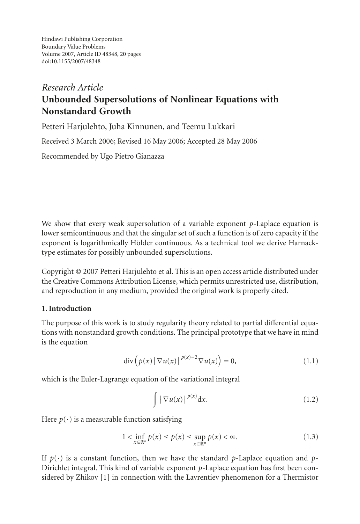# *Research Article* **Unbounded Supersolutions of Nonlinear Equations with Nonstandard Growth**

Petteri Harjulehto, Juha Kinnunen, and Teemu Lukkari

Received 3 March 2006; Revised 16 May 2006; Accepted 28 May 2006

Recommended by Ugo Pietro Gianazza

We show that every weak supersolution of a variable exponent *p*-Laplace equation is lower semicontinuous and that the singular set of such a function is of zero capacity if the exponent is logarithmically Hölder continuous. As a technical tool we derive Harnacktype estimates for possibly unbounded supersolutions.

Copyright © 2007 Petteri Harjulehto et al. This is an open access article distributed under the Creative Commons Attribution License, which permits unrestricted use, distribution, and reproduction in any medium, provided the original work is properly cited.

## **1. Introduction**

The purpose of this work is to study regularity theory related to partial differential equations with nonstandard growth conditions. The principal prototype that we have in mind is the equation

$$
\operatorname{div}\left(p(x)\left|\,\nabla u(x)\right|^{\,p(x)-2}\nabla u(x)\right)=0,\tag{1.1}
$$

which is the Euler-Lagrange equation of the variational integral

<span id="page-0-0"></span>
$$
\int \left| \nabla u(x) \right|^{p(x)} dx. \tag{1.2}
$$

Here  $p(\cdot)$  is a measurable function satisfying

$$
1 < \inf_{x \in \mathbb{R}^n} p(x) \le p(x) \le \sup_{x \in \mathbb{R}^n} p(x) < \infty. \tag{1.3}
$$

If  $p(\cdot)$  is a constant function, then we have the standard *p*-Laplace equation and *p*-Dirichlet integral. This kind of variable exponent *p*-Laplace equation has first been considered by Zhikov [\[1\]](#page-18-1) in connection with the Lavrentiev phenomenon for a Thermistor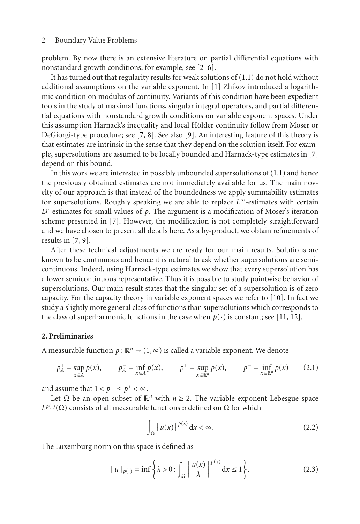problem. By now there is an extensive literature on partial differential equations with nonstandard growth conditions; for example, see [\[2](#page-18-2)[–6\]](#page-18-3).

It has turned out that regularity results for weak solutions of [\(1.1\)](#page-0-0) do not hold without additional assumptions on the variable exponent. In [\[1](#page-18-1)] Zhikov introduced a logarithmic condition on modulus of continuity. Variants of this condition have been expedient tools in the study of maximal functions, singular integral operators, and partial differential equations with nonstandard growth conditions on variable exponent spaces. Under this assumption Harnack's inequality and local Hölder continuity follow from Moser or DeGiorgi-type procedure; see [\[7,](#page-18-4) [8\]](#page-18-5). See also [\[9](#page-18-6)]. An interesting feature of this theory is that estimates are intrinsic in the sense that they depend on the solution itself. For example, supersolutions are assumed to be locally bounded and Harnack-type estimates in [\[7](#page-18-4)] depend on this bound.

In this work we are interested in possibly unbounded supersolutions of  $(1.1)$  and hence the previously obtained estimates are not immediately available for us. The main novelty of our approach is that instead of the boundedness we apply summability estimates for supersolutions. Roughly speaking we are able to replace *L*<sup>∞</sup>-estimates with certain  $L^p$ -estimates for small values of  $p$ . The argument is a modification of Moser's iteration scheme presented in [\[7](#page-18-4)]. However, the modification is not completely straightforward and we have chosen to present all details here. As a by-product, we obtain refinements of results in [\[7](#page-18-4), [9\]](#page-18-6).

After these technical adjustments we are ready for our main results. Solutions are known to be continuous and hence it is natural to ask whether supersolutions are semicontinuous. Indeed, using Harnack-type estimates we show that every supersolution has a lower semicontinuous representative. Thus it is possible to study pointwise behavior of supersolutions. Our main result states that the singular set of a supersolution is of zero capacity. For the capacity theory in variable exponent spaces we refer to [\[10\]](#page-18-7). In fact we study a slightly more general class of functions than supersolutions which corresponds to the class of superharmonic functions in the case when  $p(\cdot)$  is constant; see [\[11,](#page-18-8) [12](#page-18-9)].

## **2. Preliminaries**

A measurable function  $p: \mathbb{R}^n \to (1,\infty)$  is called a variable exponent. We denote

$$
p_A^+ = \sup_{x \in A} p(x), \qquad p_A^- = \inf_{x \in A} p(x), \qquad p^+ = \sup_{x \in \mathbb{R}^n} p(x), \qquad p^- = \inf_{x \in \mathbb{R}^n} p(x) \qquad (2.1)
$$

and assume that  $1 < p^- \leq p^+ < \infty$ .

Let  $\Omega$  be an open subset of  $\mathbb{R}^n$  with  $n \geq 2$ . The variable exponent Lebesgue space  $L^{p(\cdot)}(\Omega)$  consists of all measurable functions *u* defined on  $\Omega$  for which

$$
\int_{\Omega} |u(x)|^{p(x)} dx < \infty.
$$
 (2.2)

The Luxemburg norm on this space is defined as

$$
||u||_{p(\cdot)} = \inf \left\{ \lambda > 0 : \int_{\Omega} \left| \frac{u(x)}{\lambda} \right|^{p(x)} dx \le 1 \right\}. \tag{2.3}
$$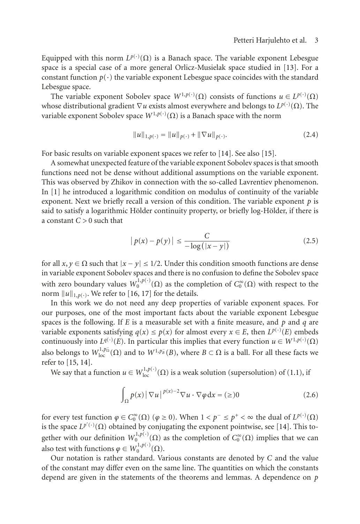Equipped with this norm  $L^{p(\cdot)}(\Omega)$  is a Banach space. The variable exponent Lebesgue<br>space is a special case of a more general Orlicz-Musielak space studied in [13]. For a space is a special case of a more general Orlicz-Musielak space studied in [\[13\]](#page-18-10). For a constant function  $p(\cdot)$  the variable exponent Lebesgue space coincides with the standard Lebesgue space.

The variable exponent Sobolev space  $W^{1,p(\cdot)}(\Omega)$  consists of functions  $u \in L^{p(\cdot)}(\Omega)$ <br>ose distributional gradient  $\nabla u$  exists almost everywhere and belongs to  $L^{p(\cdot)}(\Omega)$ . The whose distributional gradient  $\nabla u$  exists almost everywhere and belongs to  $L^{p(\cdot)}(\Omega)$ . The variable exponent Soboley space  $W^{1,p(\cdot)}(\Omega)$  is a Banach space with the norm variable exponent Sobolev space  $W^{1,p(\cdot)}(\Omega)$  is a Banach space with the norm

$$
||u||_{1,p(\cdot)} = ||u||_{p(\cdot)} + ||\nabla u||_{p(\cdot)}.
$$
\n(2.4)

For basic results on variable exponent spaces we refer to [\[14](#page-18-11)]. See also [\[15](#page-18-12)].

A somewhat unexpected feature of the variable exponent Sobolev spaces is that smooth functions need not be dense without additional assumptions on the variable exponent. This was observed by Zhikov in connection with the so-called Lavrentiev phenomenon. In [\[1\]](#page-18-1) he introduced a logarithmic condition on modulus of continuity of the variable exponent. Next we briefly recall a version of this condition. The variable exponent *p* is said to satisfy a logarithmic Hölder continuity property, or briefly log-Hölder, if there is a constant *C >* 0 such that

$$
|p(x) - p(y)| \le \frac{C}{-\log(|x - y|)}\tag{2.5}
$$

for all  $x, y \in \Omega$  such that  $|x - y| \leq 1/2$ . Under this condition smooth functions are dense in variable exponent Sobolev spaces and there is no confusion to define the Sobolev space with zero boundary values  $W_0^{1,p(\cdot)}(\Omega)$  as the completion of  $C_0^{\infty}(\Omega)$  with respect to the norm  $||u||_{\infty}$ . We refer to [16, 17] for the details norm  $||u||_{1,p(.)}$ . We refer to [\[16,](#page-18-13) [17\]](#page-18-14) for the details.

In this work we do not need any deep properties of variable exponent spaces. For our purposes, one of the most important facts about the variable exponent Lebesgue spaces is the following. If *E* is a measurable set with a finite measure, and *p* and *q* are variable exponents satisfying  $q(x) \le p(x)$  for almost every  $x \in E$ , then  $L^{p(\cdot)}(E)$  embeds<br>continuously into  $L^{q(\cdot)}(E)$ . In particular this implies that every function  $u \in W^{1,p(\cdot)}(\Omega)$ continuously into  $L^{q(\cdot)}(E)$ . In particular this implies that every function  $u \in W^{1,p(\cdot)}(\Omega)$ <br>the holomore to  $W^{1,p_0^-(\Omega)}$  and to  $W^{1,p_0^-(R)}$  where  $P \subset \Omega$  is a holl. For all these facts are also belongs to  $W^{1,p_0^-}_{loc}(\Omega)$  and to  $W^{1,p_0^-}(B)$ , where  $B \subset \Omega$  is a ball. For all these facts we refer to [15, 14] refer to [\[15,](#page-18-12) [14](#page-18-11)].

We say that a function  $u \in W^{1,p(\cdot)}_{loc}(\Omega)$  is a weak solution (supersolution) of [\(1.1\)](#page-0-0), if

$$
\int_{\Omega} p(x) |\nabla u|^{p(x)-2} \nabla u \cdot \nabla \varphi \, dx = (\geq) 0 \tag{2.6}
$$

for every test function  $\varphi \in C_0^{\infty}(\Omega)$  ( $\varphi \ge 0$ ). When  $1 < p^{-} \le p^{+} < \infty$  the dual of  $L^{p(\cdot)}(\Omega)$ <br>is the space  $L^{p'(\cdot)}(\Omega)$  obtained by conjugating the exponent pointwise, see [14]. This tois the space  $L^{p'(\cdot)}(\Omega)$  obtained by conjugating the exponent pointwise, see [\[14\]](#page-18-11). This to-<br>explanation with sure definition  $M^{1,p(\cdot)}(\Omega)$  as the convolution of  $C^{\infty}(\Omega)$  involves that we sure gether with our definition  $W_0^{1,p(\cdot)}(\Omega)$  as the completion of *C*<sub>0</sub><sup> $\infty$ </sup>(Ω) implies that we can also test with functions  $\varphi \in W_0^{1,p(\cdot)}(\Omega)$ .<br>Our potation is rather standard, Va

Our notation is rather standard. Various constants are denoted by *C* and the value of the constant may differ even on the same line. The quantities on which the constants depend are given in the statements of the theorems and lemmas. A dependence on *p*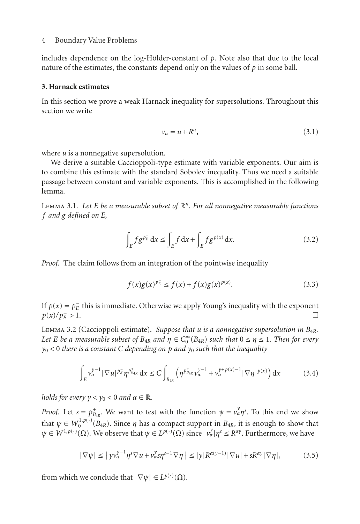includes dependence on the log-Hölder-constant of  $p$ . Note also that due to the local nature of the estimates, the constants depend only on the values of *p* in some ball.

## **3. Harnack estimates**

In this section we prove a weak Harnack inequality for supersolutions. Throughout this section we write

$$
\nu_{\alpha} = u + R^{\alpha},\tag{3.1}
$$

where *u* is a nonnegative supersolution.

We derive a suitable Caccioppoli-type estimate with variable exponents. Our aim is to combine this estimate with the standard Sobolev inequality. Thus we need a suitable passage between constant and variable exponents. This is accomplished in the following lemma.

<span id="page-3-0"></span>Lemma 3.1. *Let E be a measurable subset of* <sup>R</sup>*n. For all nonnegative measurable functions f and g defined on E,*

$$
\int_{E} f g^{p_{E}^{+}} \, \mathrm{d}x \le \int_{E} f \, \mathrm{d}x + \int_{E} f g^{p(x)} \, \mathrm{d}x. \tag{3.2}
$$

*Proof.* The claim follows from an integration of the pointwise inequality

$$
f(x)g(x)^{p_E^-} \le f(x) + f(x)g(x)^{p(x)}.
$$
\n(3.3)

If *p*(*x*) = *p*<sup>*E*</sup> this is immediate. Otherwise we apply Young's inequality with the exponent  $p(x)/p = 1$  $p(x)/p_F^- > 1$ .  $\frac{1}{E} > 1.$ 

<span id="page-3-1"></span>Lemma 3.2 (Caccioppoli estimate). *Suppose that <sup>u</sup> is a nonnegative supersolution in <sup>B</sup>*4*R. Let E be a measurable subset of*  $B_{4R}$  *and*  $\eta \in C_0^\infty(B_{4R})$  *such that*  $0 \le \eta \le 1$ *. Then for every*<br>*no* < 0 there is a constant C depending on p and *n*o such that the inequality *<sup>γ</sup>*<sup>0</sup> *<sup>&</sup>lt;* <sup>0</sup> *there is a constant <sup>C</sup> depending on <sup>p</sup> and <sup>γ</sup>*<sup>0</sup> *such that the inequality*

$$
\int_{E} \nu_{\alpha}^{\gamma-1} |\nabla u|^{p_{E}^{\gamma}} \eta^{p_{B_{4R}}^{\ast}} dx \leq C \int_{B_{4R}} \left( \eta^{p_{B_{4R}}^{\ast}} \nu_{\alpha}^{\gamma-1} + \nu_{\alpha}^{\gamma+p(x)-1} |\nabla \eta|^{p(x)} \right) dx \tag{3.4}
$$

*holds for every*  $\gamma < \gamma_0 < 0$  *and*  $\alpha \in \mathbb{R}$ *.* 

*Proof.* Let  $s = p_{\text{a}_{4R}}^+$ . We want to test with the function  $\psi = v_{\alpha}^2 \eta^s$ . To this end we show *α<sub>μ</sub>* επειδεί *μ* ε *μ*<sub>1</sub>*p*(·)</sup> (*B<sub>4</sub>R*). Since *η* has a compact support in *B<sub>4</sub>R*, it is enough to show that  $\psi \in W_0^{1,p(\cdot)}(B_{4R})$ . Since *η* has a compact support in *B<sub>4R</sub>*, it is enough to show that  $\psi \in W_0^{1,p(\$  $\psi \in W^{1,p(\cdot)}(\Omega)$ . We observe that  $\psi \in L^{p(\cdot)}(\Omega)$  since  $|\nu^{\gamma}_{\alpha}| \eta^s \leq R^{\alpha \gamma}$ . Furthermore, we have

$$
|\nabla \psi| \leq |\gamma v_{\alpha}^{\gamma-1} \eta^s \nabla u + v_{\alpha}^{\gamma} s \eta^{s-1} \nabla \eta| \leq |\gamma| R^{\alpha(\gamma-1)} |\nabla u| + s R^{\alpha \gamma} |\nabla \eta|,
$$
 (3.5)

from which we conclude that  $|\nabla \psi| \in L^{p(\cdot)}(\Omega)$ .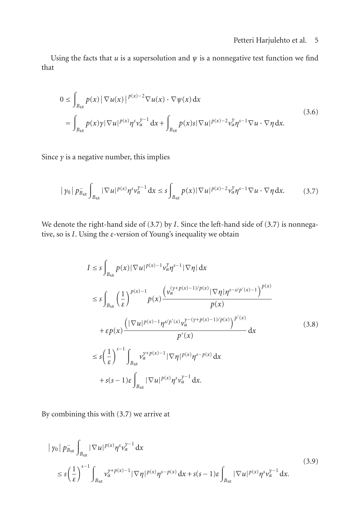Using the facts that  $u$  is a supersolution and  $\psi$  is a nonnegative test function we find that

$$
0 \leq \int_{B_{4R}} p(x) |\nabla u(x)|^{p(x)-2} \nabla u(x) \cdot \nabla \psi(x) dx
$$
  
= 
$$
\int_{B_{4R}} p(x) \gamma |\nabla u|^{p(x)} \eta^{s} v_{\alpha}^{y-1} dx + \int_{B_{4R}} p(x) s |\nabla u|^{p(x)-2} v_{\alpha}^{y} \eta^{s-1} \nabla u \cdot \nabla \eta dx.
$$
 (3.6)

Since  $\gamma$  is a negative number, this implies

$$
|\gamma_0| \, p_{B_{4R}}^- \int_{B_{4R}} |\nabla u|^{p(x)} \eta^s v_\alpha^{\gamma-1} \, dx \le s \int_{B_{4R}} p(x) |\nabla u|^{p(x)-2} v_\alpha^{\gamma} \eta^{s-1} \nabla u \cdot \nabla \eta \, dx. \tag{3.7}
$$

We denote the right-hand side of [\(3.7\)](#page-4-0) by *I*. Since the left-hand side of [\(3.7\)](#page-4-0) is nonnegative, so is *I*. Using the *ε*-version of Young's inequality we obtain

<span id="page-4-0"></span>
$$
I \leq s \int_{B_{4R}} p(x) |\nabla u|^{p(x)-1} v_{\alpha}^{\gamma} \eta^{s-1} |\nabla \eta| dx
$$
  
\n
$$
\leq s \int_{B_{4R}} \left(\frac{1}{\varepsilon}\right)^{p(x)-1} p(x) \frac{\left(v_{\alpha}^{(\gamma+p(x)-1)/p(x)} |\nabla \eta| \eta^{s-s/p'(x)-1}\right)^{p(x)}}{p(x)}
$$
  
\n
$$
+ \varepsilon p(x) \frac{\left(\left|\nabla u\right|^{p(x)-1} \eta^{s/p'(x)} v_{\alpha}^{\gamma-(\gamma+p(x)-1)/p(x)}\right)^{p'(x)}}{p'(x)} dx
$$
  
\n
$$
\leq s \left(\frac{1}{\varepsilon}\right)^{s-1} \int_{B_{4R}} v_{\alpha}^{\gamma+p(x)-1} |\nabla \eta|^{p(x)} \eta^{s-p(x)} dx
$$
  
\n
$$
+ s(s-1) \varepsilon \int_{B_{4R}} |\nabla u|^{p(x)} \eta^{s} v_{\alpha}^{\gamma-1} dx.
$$
\n(3.8)

By combining this with [\(3.7\)](#page-4-0) we arrive at

<span id="page-4-1"></span>
$$
|\gamma_{0}| \bar{p}_{a_{4R}} \int_{B_{4R}} |\nabla u|^{p(x)} \eta^{s} v_{\alpha}^{y-1} dx
$$
\n
$$
\leq s \left(\frac{1}{\varepsilon}\right)^{s-1} \int_{B_{4R}} v_{\alpha}^{y+p(x)-1} |\nabla \eta|^{p(x)} \eta^{s-p(x)} dx + s(s-1)\varepsilon \int_{B_{4R}} |\nabla u|^{p(x)} \eta^{s} v_{\alpha}^{y-1} dx.
$$
\n(3.9)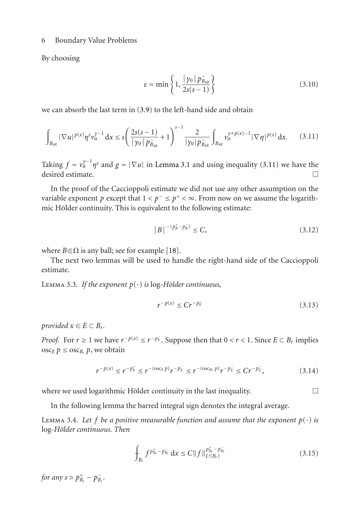By choosing

<span id="page-5-0"></span>
$$
\varepsilon = \min\left\{1, \frac{|\gamma_0| \, p_{B_{4R}}}{2s(s-1)}\right\} \tag{3.10}
$$

we can absorb the last term in [\(3.9\)](#page-4-1) to the left-hand side and obtain

$$
\int_{B_{4R}} |\nabla u|^{p(x)} \eta^s \nu_{\alpha}^{y-1} dx \le s \left( \frac{2s(s-1)}{|\gamma_0| \rho_{B_{4R}}^{\gamma}} + 1 \right)^{s-1} \frac{2}{|\gamma_0| \rho_{B_{4R}}^{\gamma}} \int_{B_{4R}} \nu_{\alpha}^{y+p(x)-1} |\nabla \eta|^{p(x)} dx. \tag{3.11}
$$

Taking  $f = v_{\alpha}^{\gamma-1} \eta^s$  and  $g = |\nabla u|$  in [Lemma 3.1](#page-3-0) and using inequality [\(3.11\)](#page-5-0) we have the desired estimate desired estimate.  $\Box$ 

In the proof of the Caccioppoli estimate we did not use any other assumption on the variable exponent *p* except that  $1 < p^- \le p^+ < \infty$ . From now on we assume the logarithmic Hölder continuity. This is equivalent to the following estimate:

$$
|B|^{-(p_B^+ - p_B^-)} \le C,\t\t(3.12)
$$

where  $B \in \Omega$  is any ball; see for example [\[18](#page-19-0)].

<span id="page-5-2"></span>The next two lemmas will be used to handle the right-hand side of the Caccioppoli estimate.

LEMMA 3.3. If the exponent  $p(\cdot)$  is log-Hölder continuous,

$$
r^{-p(x)} \le Cr^{-p_E^-} \tag{3.13}
$$

*provided*  $x \in E \subset B_r$ .

*Proof.* For *r* ≥ 1 we have  $r^{-p(x)} \le r^{-p\overline{E}}$ . Suppose then that  $0 < r < 1$ . Since  $E \subset B_r$  implies oscants  $f \leq 0$  and obtain  $\csc_{E} p \leq \csc_{B_{r}} p$ , we obtain

$$
r^{-p(x)} \le r^{-p_E^+} \le r^{-(\cos_{E} p)} r^{-p_E^-} \le r^{-(\cos_{E_r} p)} r^{-p_E^-} \le Cr^{-p_E^-},\tag{3.14}
$$

where we used logarithmic Hölder continuity in the last inequality.  $\Box$ 

In the following lemma the barred integral sign denotes the integral average.

<span id="page-5-1"></span>LEMMA 3.4. Let f be a positive measurable function and assume that the exponent  $p(\cdot)$  is log*-Holder continuous. Then ¨*

$$
\int_{B_r} f^{p_{B_r}^+ - p_{B_r}^-} dx \le C \|f\|_{L^s(B_r)}^{p_{B_r}^+ - p_{B_r}^-}
$$
\n(3.15)

*for any*  $s > p_{B_r}^+ - p_{B_r}^-$ . *Br*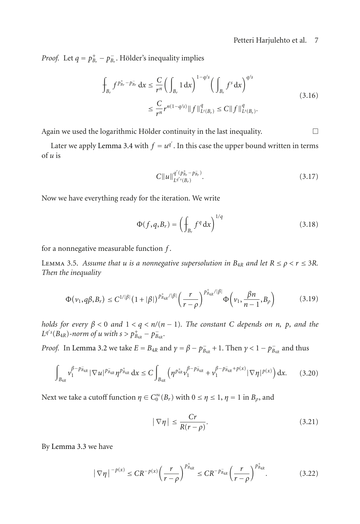*Proof.* Let  $q = p_{B_r}^+ - p_{B_r}^-$ . Hölder's inequality implies

$$
\int_{B_r} f^{p_{B_r}^+ - p_{B_r}^-} dx \leq \frac{C}{r^n} \left( \int_{B_r} 1 dx \right)^{1 - q/s} \left( \int_{B_r} f^s dx \right)^{q/s}
$$
\n
$$
\leq \frac{C}{r^n} r^{n(1 - q/s)} \|f\|_{L^s(B_r)}^q \leq C \|f\|_{L^s(B_r)}^q.
$$
\n(3.16)

Again we used the logarithmic Hölder continuity in the last inequality.  $\Box$ 

Later we apply [Lemma 3.4](#page-5-1) with  $f = u^q$ . In this case the upper bound written in terms  $u$  is of *u* is

$$
C||u||_{L^{q'}(B_r^+ - P_{B_r}^-)}^{q'(p_{B_r}^+ - p_{B_r}^-)}.
$$
\n(3.17)

Now we have everything ready for the iteration. We write

$$
\Phi(f,q,B_r) = \left(\int_{B_r} f^q \, dx\right)^{1/q} \tag{3.18}
$$

<span id="page-6-2"></span>for a nonnegative measurable function *f* .

LEMMA 3.5. Assume that *u* is a nonnegative supersolution in  $B_{4R}$  and let  $R \leq \rho < r \leq 3R$ . *Then the inequality*

$$
\Phi(\nu_1, q\beta, B_r) \le C^{1/|\beta|} \left(1 + |\beta|\right)^{p_{B_{4R}}^+ / |\beta|} \left(\frac{r}{r-\rho}\right)^{p_{B_{4R}}^+ / |\beta|} \Phi\left(\nu_1, \frac{\beta n}{n-1}, B_\rho\right) \tag{3.19}
$$

*holds for every*  $\beta$  < 0 *and*  $1 < q < n/(n - 1)$ *. The constant C depends on n*, *p, and the*  $L^{q's}(B_{4R})$ -norm of *u* with  $s > p_{B_{4R}}^+ - p_{B_{4R}}^-$ .

*Proof.* In [Lemma 3.2](#page-3-1) we take  $E = B_{4R}$  and  $\gamma = \beta - p_{B_{4R}}^- + 1$ . Then  $\gamma < 1 - p_{B_{4R}}^-$  and thus

$$
\int_{B_{4R}} \nu_1^{\beta - p_{B_{4R}}} |\nabla u|^{p_{B_{4R}}} \eta^{p_{B_{4R}}} dx \le C \int_{B_{4R}} \left( \eta^{p_{4R}^+} \nu_1^{\beta - p_{B_{4R}}^-} + \nu_1^{\beta - p_{B_{4R}}^- + p(x)} |\nabla \eta|^{p(x)} \right) dx. \tag{3.20}
$$

Next we take a cutoff function  $\eta \in C_0^{\infty}(B_r)$  with  $0 \le \eta \le 1$ ,  $\eta = 1$  in  $B_\rho$ , and

<span id="page-6-1"></span><span id="page-6-0"></span>
$$
|\nabla \eta| \le \frac{Cr}{R(r-\rho)}.\tag{3.21}
$$

By [Lemma 3.3](#page-5-2) we have

$$
|\nabla \eta|^{-p(x)} \le CR^{-p(x)} \left(\frac{r}{r-\rho}\right)^{p_{B_{4R}}^+} \le CR^{-p_{B_{4R}}}\left(\frac{r}{r-\rho}\right)^{p_{B_{4R}}^+}.\tag{3.22}
$$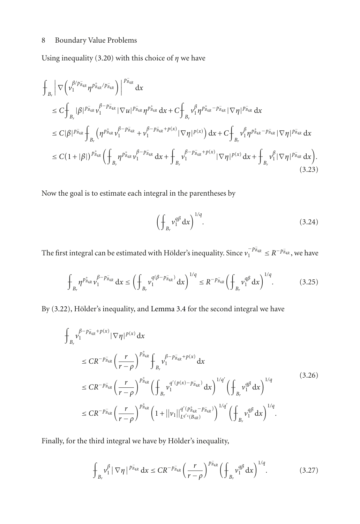Using inequality [\(3.20\)](#page-6-0) with this choice of  $\eta$  we have

$$
\int_{B_{r}} \left| \nabla \left( \nu_{1}^{\beta / p_{B_{4R}}} \eta^{p_{B_{4R}}^{+}/p_{B_{4R}}} \right) \right|^{p_{B_{4R}}} dx
$$
\n
$$
\leq C \int_{B_{r}} |\beta|^{p_{B_{4R}}} \nu_{1}^{\beta - p_{B_{4R}}} |\nabla u|^{p_{B_{4R}}} \eta^{p_{B_{4R}}} dx + C \int_{B_{r}} \nu_{1}^{\beta} \eta^{p_{B_{4R}}^{+} - p_{B_{4R}}} |\nabla \eta|^{p_{B_{4R}}} dx
$$
\n
$$
\leq C |\beta|^{p_{B_{4R}}} \int_{B_{r}} \left( \eta^{p_{B_{4R}}} \nu_{1}^{\beta - p_{B_{4R}}} + \nu_{1}^{\beta - p_{B_{4R}}^{+} + p(x)} |\nabla \eta|^{p(x)} \right) dx + C \int_{B_{r}} \nu_{1}^{\beta} \eta^{p_{B_{4R}}^{+} - p_{B_{4R}}} |\nabla \eta|^{p_{B_{4R}}} dx
$$
\n
$$
\leq C (1 + |\beta|)^{p_{B_{4R}}} \left( \int_{B_{r}} \eta^{p_{B_{4R}}} \nu_{1}^{\beta - p_{B_{4R}}} dx + \int_{B_{r}} \nu_{1}^{\beta - p_{B_{4R}}^{-} + p(x)} |\nabla \eta|^{p(x)} dx + \int_{B_{r}} \nu_{1}^{\beta} |\nabla \eta|^{p_{B_{4R}}} dx \right).
$$
\n(3.23)

Now the goal is to estimate each integral in the parentheses by

$$
\left(\oint_{B_r} v_1^{q\beta} dx\right)^{1/q}.\tag{3.24}
$$

The first integral can be estimated with Hölder's inequality. Since  $v_1^{-p_{\bar{B}_{4R}}} \le R^{-p_{\bar{B}_{4R}}}$ , we have

$$
\int_{B_r} \eta^{p_{B_{4R}}^+} \nu_1^{\beta - p_{B_{4R}}^-} dx \le \left( \int_{B_r} \nu_1^{q(\beta - p_{B_{4R}}^-)} dx \right)^{1/q} \le R^{-p_{B_{4R}}^-} \left( \int_{B_r} \nu_1^{q\beta} dx \right)^{1/q}.
$$
 (3.25)

By  $(3.22)$ , Hölder's inequality, and [Lemma 3.4](#page-5-1) for the second integral we have

$$
\int_{B_r} \rho^{\beta - p_{B_{4R}} + p(x)} |\nabla \eta|^{p(x)} dx
$$
\n
$$
\leq CR^{-p_{B_{4R}}} \left(\frac{r}{r-\rho}\right)^{p_{B_{4R}}} \int_{B_r} \rho^{\beta - p_{B_{4R}} + p(x)}_1 dx
$$
\n
$$
\leq CR^{-p_{B_{4R}}} \left(\frac{r}{r-\rho}\right)^{p_{B_{4R}}^+} \left(\frac{r}{p_{B_r}^+} \rho^{\alpha/(p(x) - p_{B_{4R}}^-)}_1 dx\right)^{1/q'} \left(\frac{r}{p_{B_r}^+} \rho^{\alpha/\beta/2}\right)^{1/q}
$$
\n
$$
\leq CR^{-p_{B_{4R}}} \left(\frac{r}{r-\rho}\right)^{p_{B_{4R}^+}^+} \left(1 + ||\nu_1||_{L^{q'}(B_{4R}^-)}^{q' (p_{B_{4R}}^+ - p_{B_{4R}^-}^-)}\right)^{1/q'} \left(\frac{r}{p_{B_r}^+} \rho^{\alpha/\beta/2}\right)^{1/q}.
$$
\n
$$
(3.26)
$$

Finally, for the third integral we have by Hölder's inequality,

$$
\int_{B_r} v_1^{\beta} |\nabla \eta|^{p_{B_{4R}}} dx \le CR^{-p_{B_{4R}}} \left(\frac{r}{r-\rho}\right)^{p_{B_{4R}}} \left(\frac{r}{r-\rho}\right)^{1/q}.
$$
 (3.27)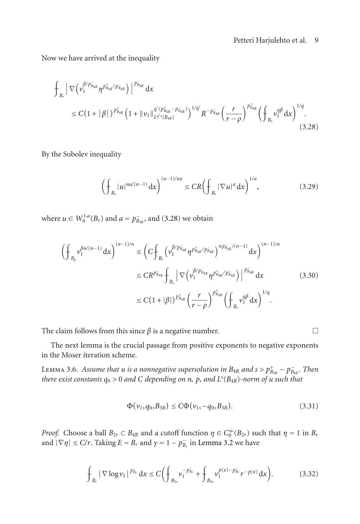Now we have arrived at the inequality

$$
\int_{B_r} \left| \nabla \left( \nu_1^{\beta / \bar{p}_{\bar{a}_R}} \eta^{p_{\bar{b}_{4R}}^+ / p_{\bar{b}_{4R}}^-} \right) \right|^{p_{\bar{B}_{4R}}} dx
$$
\n
$$
\leq C \left( 1 + |\beta| \right)^{p_{\bar{b}_{4R}}} \left( 1 + ||\nu_1||_{L^{q' s}(B_{4R})}^{q' (p_{\bar{b}_{4R}}^+ - p_{\bar{b}_{4R}}^-)} \right)^{1/q'} R^{-p_{\bar{b}_{4R}}} \left( \frac{r}{r - \rho} \right)^{p_{\bar{b}_{4R}}^+} \left( \int_{B_r} \nu_1^{q\beta} dx \right)^{1/q} . \tag{3.28}
$$

By the Sobolev inequality

<span id="page-8-0"></span>
$$
\left(\int_{B_r} |u|^{na/(n-1)} \, \mathrm{d}x\right)^{(n-1)/na} \le CR \left(\int_{B_r} |\nabla u|^a \, \mathrm{d}x\right)^{1/a},\tag{3.29}
$$

where  $u \in W_0^{1,a}(B_r)$  and  $a = p_{B_{4R}}^-$ , and [\(3.28\)](#page-8-0) we obtain

$$
\left(\int_{B_{\rho}} v_1^{\beta n/(n-1)} dx\right)^{(n-1)/n} \leq \left(C \int_{B_r} \left(v_1^{\beta/p_{\bar{B}_{4R}}} \eta^{p_{\bar{B}_{4R}}^+ / p_{\bar{B}_{4R}}^-}\right)^{n p_{\bar{B}_{4R}}^- / (n-1)} dx\right)^{(n-1)/n}
$$
\n
$$
\leq C R^{p_{\bar{B}_{4R}}} \int_{B_r} \left|\nabla \left(v_1^{\beta/p_{\bar{B}_{4R}}} \eta^{p_{\bar{B}_{4R}}^+ / p_{\bar{B}_{4R}}^-}\right)\right|^{p_{\bar{B}_{4R}}} dx \qquad (3.30)
$$
\n
$$
\leq C (1+|\beta|)^{p_{\bar{B}_{4R}}^+} \left(\frac{r}{r-\rho}\right)^{p_{\bar{B}_{4R}^+}^+} \left(\int_{B_r} v_1^{q\beta} dx\right)^{1/q}.
$$

The claim follows from this since  $\beta$  is a negative number.  $\Box$ 

<span id="page-8-1"></span>The next lemma is the crucial passage from positive exponents to negative exponents in the Moser iteration scheme.

LEMMA 3.6. *Assume that u is a nonnegative supersolution in*  $B_{4R}$  *and*  $s > p_{B_{4R}}^+ - p_{B_{4R}}^-$ . Then<br>*there exist constants*  $a_8 > 0$  and C depending on n, p, and  $I^s(B_{4R})$ -norm of u such that *there exist constants <sup>q</sup>*<sup>0</sup> *<sup>&</sup>gt;* <sup>0</sup> *and <sup>C</sup> depending on <sup>n</sup>, <sup>p</sup>, and <sup>L</sup><sup>s</sup>* (*B*4*R*)*-norm of <sup>u</sup> such that*

$$
\Phi(\nu_1, q_0, B_{3R}) \le C\Phi(\nu_1, -q_0, B_{3R}). \tag{3.31}
$$

*Proof.* Choose a ball  $B_{2r} \subset B_{4R}$  and a cutoff function  $\eta \in C_0^{\infty}(B_{2r})$  such that  $\eta = 1$  in  $B_r$ <br>and  $|\nabla u| \le C/r$ . Taking  $F = B$ , and  $y = 1 - p$ , in Lemma 3.2 we have and  $|\nabla \eta| \le C/r$ . Taking  $E = B_r$  and  $\gamma = 1 - p_{B_r}^-$  in [Lemma 3.2](#page-3-1) we have

$$
\int_{B_r} |\nabla \log \nu_1|^{p_{B_r}^{\mathbf{r}}} dx \le C \bigg( \int_{B_{2r}} \nu_1^{-p_{B_r}^{\mathbf{r}}} + \int_{B_{2r}} \nu_1^{p(x)-p_{B_r}^{\mathbf{r}}} r^{-p(x)} dx \bigg). \tag{3.32}
$$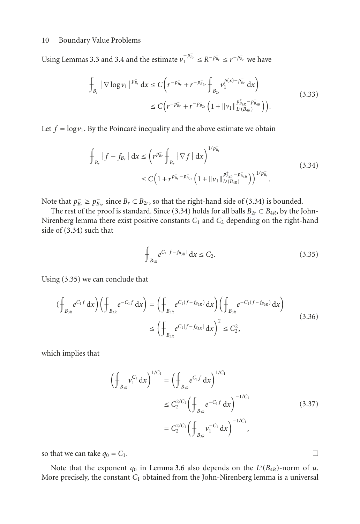Using Lemmas [3.3](#page-5-2) and [3.4](#page-5-1) and the estimate  $v_1^{-p_{\bar{B}_r}} \le R^{-p_{\bar{B}_r}} \le r^{-p_{\bar{B}_r}}$  we have

$$
\int_{B_r} |\nabla \log \nu_1|^{p_{B_r}^-} dx \le C \bigg( r^{-p_{B_r}^-} + r^{-p_{B_{2r}}^-} \int_{B_{2r}} \nu_1^{p(x)-p_{B_r}^-} dx \bigg) \le C \bigg( r^{-p_{B_r}^-} + r^{-p_{B_{2r}}^-} \bigg( 1 + ||\nu_1||_{L^s(B_{4R})}^{p_{B_{4R}^+}^+ - p_{B_{4R}^-}^-} \bigg) \bigg).
$$
\n(3.33)

Let  $f = \log v_1$ . By the Poincaré inequality and the above estimate we obtain

$$
\int_{B_r} |f - f_{B_r}| dx \le (r^{p_{B_r}} \int_{B_r} |\nabla f| dx)^{1/p_{B_r}^{-}}
$$
\n
$$
\le C \Big( 1 + r^{p_{B_r}^{-}} p_{B_{2r}} \Big( 1 + ||v_1||_{L^{s}(B_{4R})}^{p_{B_{4R}}^{+}} p_{B_{4R}}^{-} \Big) \Big)^{1/p_{B_r}^{-}}.
$$
\n(3.34)

Note that  $p_{B_r}^-\geq p_{B_{2r}}^-\text{ since }B_r \subset B_{2r}$ , so that the right-hand side of [\(3.34\)](#page-9-0) is bounded.<br>The rest of the proof is standard. Since (3.34) holds for all balls  $B_2 \subset B_{2r}$ , by the L

The rest of the proof is standard. Since [\(3.34\)](#page-9-0) holds for all balls  $B_{2r} \subset B_{4R}$ , by the John-Nirenberg lemma there exist positive constants  $C_1$  and  $C_2$  depending on the right-hand side of [\(3.34\)](#page-9-0) such that

<span id="page-9-1"></span><span id="page-9-0"></span>
$$
\int_{B_{3R}} e^{C_1|f - f_{B_{3R}}|} dx \le C_2.
$$
\n(3.35)

Using [\(3.35\)](#page-9-1) we can conclude that

$$
\left(\oint_{B_{3R}} e^{C_1 f} dx\right) \left(\oint_{B_{3R}} e^{-C_1 f} dx\right) = \left(\oint_{B_{3R}} e^{C_1 (f - f_{B_{3R}})} dx\right) \left(\oint_{B_{3R}} e^{-C_1 (f - f_{B_{3R}})} dx\right)
$$
\n
$$
\leq \left(\oint_{B_{3R}} e^{C_1 |f - f_{B_{3R}}|} dx\right)^2 \leq C_2^2,
$$
\n(3.36)

which implies that

$$
\left(\oint_{B_{3R}} v_1^{C_1} dx\right)^{1/C_1} = \left(\oint_{B_{3R}} e^{C_1 f} dx\right)^{1/C_1}
$$
\n
$$
\leq C_2^{2/C_1} \left(\oint_{B_{3R}} e^{-C_1 f} dx\right)^{-1/C_1}
$$
\n
$$
= C_2^{2/C_1} \left(\oint_{B_{3R}} v_1^{-C_1} dx\right)^{-1/C_1},
$$
\n(3.37)

so that we can take  $q_0 = C_1$ .

Note that the exponent  $q_0$  in [Lemma 3.6](#page-8-1) also depends on the  $L^s(B_{4R})$ -norm of *u*. More precisely, the constant *<sup>C</sup>*<sup>1</sup> obtained from the John-Nirenberg lemma is a universal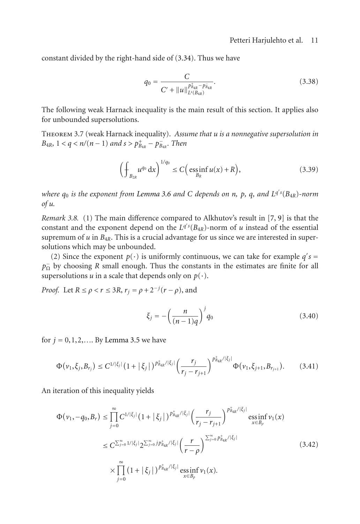constant divided by the right-hand side of [\(3.34\)](#page-9-0). Thus we have

$$
q_0 = \frac{C}{C' + ||u||_{L^s(B_{4R})}^{\frac{p}{p_{4R}} - p_{B_{4R}}}}.
$$
\n(3.38)

The following weak Harnack inequality is the main result of this section. It applies also for unbounded supersolutions.

Theorem 3.7 (weak Harnack inequality). *Assume that u is a nonnegative supersolution in B*<sub>4*R*</sub></sub>, 1 < *q* < *n*/(*n* − 1) *and s* >  $p_{B_{4R}}^+ - p_{B_{4R}}^-$ . *Then* 

$$
\left(\oint_{B_{2R}} u^{q_0} \, \mathrm{d}x\right)^{1/q_0} \le C\Big(\operatorname{ess\,inf}_{B_R} u(x) + R\Big),\tag{3.39}
$$

*where <sup>q</sup>*<sup>0</sup> *is the exponent from [Lemma 3.6](#page-8-1) and <sup>C</sup> depends on <sup>n</sup>, <sup>p</sup>, <sup>q</sup>, and <sup>L</sup><sup>q</sup> s* (*B*4*R*)*-norm of u.*

*Remark 3.8.* (1) The main difference compared to Alkhutov's result in [\[7](#page-18-4), [9](#page-18-6)] is that the constant and the exponent depend on the  $L^{q's}(B_{4R})$ -norm of *u* instead of the essential<br>supremum of *u* in  $B_{4R}$ . This is a crucial advantage for us since we are interested in supersupremum of  $u$  in  $B_{4R}$ . This is a crucial advantage for us since we are interested in supersolutions which may be unbounded.

(2) Since the exponent  $p(\cdot)$  is uniformly continuous, we can take for example *q'*<br>by choosing *R* small enough. Thus the constants in the estimates are finite for  $s =$ <sup> $\Omega$ 11</sup> *p*<sub>0</sub> by choosing *R* small enough. Thus the constants in the estimates are finite for all supersolutions *u* in a scale that depends only on *p*(.) supersolutions *u* in a scale that depends only on  $p(\cdot)$ .

*Proof.* Let  $R \le \rho < r \le 3R$ ,  $r_j = \rho + 2^{-j}(r - \rho)$ , and

$$
\xi_j = -\left(\frac{n}{(n-1)q}\right)^j q_0 \tag{3.40}
$$

for  $j = 0, 1, 2, \ldots$  By [Lemma 3.5](#page-6-2) we have

$$
\Phi(\nu_1, \xi_j, B_{r_j}) \le C^{1/|\xi_j|} \left(1 + |\xi_j|\right)^{p_{B_{4R}}^+ / |\xi_j|} \left(\frac{r_j}{r_j - r_{j+1}}\right)^{p_{B_{4R}}^+ / |\xi_j|} \Phi(\nu_1, \xi_{j+1}, B_{r_{j+1}}). \tag{3.41}
$$

An iteration of this inequality yields

$$
\Phi(\nu_{1}, -q_{0}, B_{r}) \leq \prod_{j=0}^{\infty} C^{1/|\xi_{j}|} (1 + |\xi_{j}|)^{p_{B_{4R}}^{\ast}/|\xi_{j}|} \left(\frac{r_{j}}{r_{j} - r_{j+1}}\right)^{p_{B_{4R}}^{\ast}/|\xi_{j}|} \underset{x \in B_{\rho}}{\text{essinf}} \nu_{1}(x)
$$
  

$$
\leq C^{\sum_{j=0}^{\infty} 1/|\xi_{j}|} 2^{\sum_{j=0}^{\infty} j p_{B_{4R}}^{\ast}/|\xi_{j}|} \left(\frac{r}{r - \rho}\right)^{\sum_{j=0}^{\infty} p_{B_{4R}}^{\ast}/|\xi_{j}|} \left(\frac{3.42}{r - \rho}\right)^{\text{max}} \tag{3.42}
$$
  

$$
\times \prod_{j=0}^{\infty} (1 + |\xi_{j}|)^{p_{B_{4R}}^{\ast}/|\xi_{j}|} \underset{x \in B_{\rho}}{\text{ess inf}} \nu_{1}(x).
$$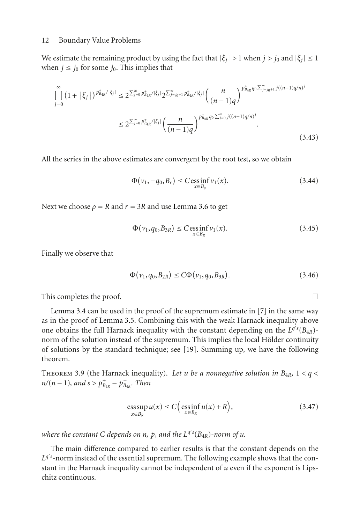We estimate the remaining product by using the fact that  $|\xi_i| > 1$  when  $j > j_0$  and  $|\xi_i| \leq 1$ when  $j \leq j_0$  for some  $j_0$ . This implies that

$$
\prod_{j=0}^{\infty} \left(1 + |\xi_j|\right)^{p_{B_{4R}}^+(|\xi_j|} \le 2^{\sum_{j=0}^{j_0} p_{B_{4R}}^+ / |\xi_j|} 2^{\sum_{j=j_0+1}^{\infty} p_{B_{4R}}^+ / |\xi_j|} \left(\frac{n}{(n-1)q}\right)^{p_{B_{4R}}^+ q_0 \sum_{j=j_0+1}^{\infty} j((n-1)q/n)^j}
$$
  

$$
\le 2^{\sum_{j=0}^{\infty} p_{B_{4R}}^+ / |\xi_j|} \left(\frac{n}{(n-1)q}\right)^{p_{B_{4R}}^+ q_0 \sum_{j=0}^{\infty} j((n-1)q/n)^j}.
$$
\n(3.43)

All the series in the above estimates are convergent by the root test, so we obtain

$$
\Phi(\nu_1, -q_0, B_r) \le C \operatorname{ess\,inf}_{x \in B_\rho} \nu_1(x). \tag{3.44}
$$

Next we choose  $\rho = R$  and  $r = 3R$  and use [Lemma 3.6](#page-8-1) to get

$$
\Phi(\nu_1, q_0, B_{3R}) \le C \underset{x \in B_R}{\text{ess inf}} \nu_1(x). \tag{3.45}
$$

Finally we observe that

$$
\Phi(\nu_1, q_0, B_{2R}) \le C \Phi(\nu_1, q_0, B_{3R}). \tag{3.46}
$$

This completes the proof.  $\Box$ 

[Lemma 3.4](#page-5-1) can be used in the proof of the supremum estimate in [\[7](#page-18-4)] in the same way as in the proof of [Lemma 3.5.](#page-6-2) Combining this with the weak Harnack inequality above one obtains the full Harnack inequality with the constant depending on the  $L^{q's}(B_{4R})$ -<br>norm of the solution instead of the supremum. This implies the local Hölder continuity norm of the solution instead of the supremum. This implies the local Hölder continuity of solutions by the standard technique; see [\[19\]](#page-19-1). Summing up, we have the following theorem.

THEOREM 3.9 (the Harnack inequality). Let *u* be a nonnegative solution in  $B_{4R}$ ,  $1 < q <$ *n*/(*n* − 1)*,* and *s* >  $p_{B_{4R}}^+$  −  $p_{B_{4R}}^-$ *. Then* 

$$
\operatorname*{ess\,sup}_{x \in B_R} u(x) \le C \Big( \operatorname*{ess\,inf}_{x \in B_R} u(x) + R \Big), \tag{3.47}
$$

*where the constant C depends on n, p, and the L<sup>q</sup> s* (*B*4*R*)*-norm of <sup>u</sup>.*

The main difference compared to earlier results is that the constant depends on the  $L^{q's}$ -norm instead of the essential supremum. The following example shows that the con-<br>stant in the Harnack inequality cannot be independent of *u* even if the exponent is I insstant in the Harnack inequality cannot be independent of *u* even if the exponent is Lipschitz continuous.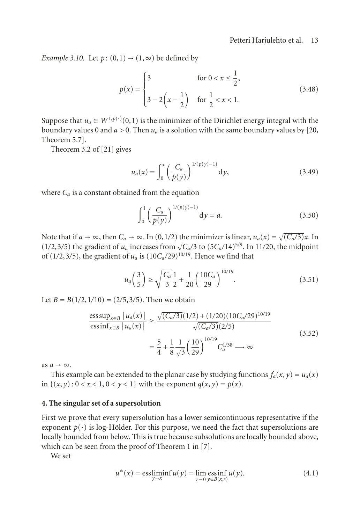*Example 3.10.* Let  $p$ :  $(0,1) \rightarrow (1,\infty)$  be defined by

$$
p(x) = \begin{cases} 3 & \text{for } 0 < x \le \frac{1}{2}, \\ 3 - 2\left(x - \frac{1}{2}\right) & \text{for } \frac{1}{2} < x < 1. \end{cases}
$$
(3.48)

Suppose that  $u_a \in W^{1,p(\cdot)}(0,1)$  is the minimizer of the Dirichlet energy integral with the boundary values by [20] boundary values 0 and  $a > 0$ . Then  $u_a$  is a solution with the same boundary values by [\[20,](#page-19-2) Theorem 5.7].

Theorem 3.2 of [\[21\]](#page-19-3) gives

$$
u_a(x) = \int_0^x \left(\frac{C_a}{p(y)}\right)^{1/(p(y)-1)} dy,
$$
 (3.49)

where  $C_a$  is a constant obtained from the equation

$$
\int_0^1 \left( \frac{C_a}{p(y)} \right)^{1/(p(y)-1)} dy = a.
$$
 (3.50)

Note that if  $a \to \infty$ , then  $C_a \to \infty$ . In (0,1/2) the minimizer is linear,  $u_a(x) = \sqrt{(C_a/3)}x$ . In (1/2, 3/5) the gradient of *u* increases from  $\sqrt{C_a/3}$  to (5C /14)<sup>5/9</sup>. In 11/20, the midnoint  $(1/2,3/5)$  the gradient of *u<sub>a</sub>* increases from  $\sqrt{C_a/3}$  to  $(5C_a/14)^{5/9}$ . In 11/20, the midpoint of  $(1/2,3/5)$  the gradient of *u*<sub>1</sub> is  $(10C/29)^{10/19}$ . Hence we find that of (1/2,3/5), the gradient of  $u_a$  is (10 $C_a/29$ )<sup>10/19</sup>. Hence we find that

$$
u_a\left(\frac{3}{5}\right) \ge \sqrt{\frac{C_a}{3}}\frac{1}{2} + \frac{1}{20}\left(\frac{10C_a}{29}\right)^{10/19}.\tag{3.51}
$$

Let  $B = B(1/2, 1/10) = (2/5, 3/5)$ . Then we obtain

$$
\frac{\operatorname{ess\,sup}_{x \in B} |u_a(x)|}{\operatorname{ess\,inf}_{x \in B} |u_a(x)|} \ge \frac{\sqrt{(C_a/3)}(1/2) + (1/20)(10C_a/29)^{10/19}}{\sqrt{(C_a/3)}(2/5)}
$$
\n
$$
= \frac{5}{4} + \frac{1}{8} \frac{1}{\sqrt{3}} \left(\frac{10}{29}\right)^{10/19} C_a^{1/38} \longrightarrow \infty
$$
\n(3.52)

as  $a \rightarrow \infty$ .

This example can be extended to the planar case by studying functions  $f_a(x, y) = u_a(x)$ in  $\{(x, y): 0 < x < 1, 0 < y < 1\}$  with the exponent  $q(x, y) = p(x)$ .

## **4. The singular set of a supersolution**

First we prove that every supersolution has a lower semicontinuous representative if the exponent  $p(\cdot)$  is log-Hölder. For this purpose, we need the fact that supersolutions are locally bounded from below. This is true because subsolutions are locally bounded above, which can be seen from the proof of Theorem 1 in [\[7\]](#page-18-4).

We set

$$
u^*(x) = \underset{y \to x}{\text{ess}\liminf} \, u(y) = \lim_{r \to 0} \underset{y \in B(x,r)}{\text{ess}\inf} \, u(y). \tag{4.1}
$$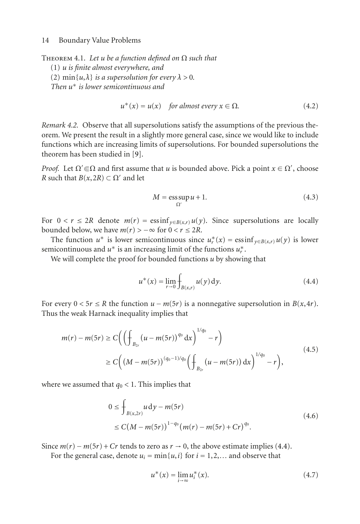THEOREM 4.1. Let  $u$  be a function defined on  $\Omega$  such that

(1) *u is finite almost everywhere, and*

(2)  $\min\{u, \lambda\}$  *is a supersolution for every*  $\lambda > 0$ *.* 

*Then u*<sup>∗</sup> *is lower semicontinuous and*

$$
u^*(x) = u(x) \quad \text{for almost every } x \in \Omega. \tag{4.2}
$$

*Remark 4.2.* Observe that all supersolutions satisfy the assumptions of the previous theorem. We present the result in a slightly more general case, since we would like to include functions which are increasing limits of supersolutions. For bounded supersolutions the theorem has been studied in [\[9](#page-18-6)].

*Proof.* Let  $\Omega' \subseteq \Omega$  and first assume that *u* is bounded above. Pick a point  $x \in \Omega'$ , choose *R* such that  $B(x, 2R) \subset \Omega'$  and let *R* such that *B*(*x*,2*R*)  $\subset \Omega'$  and let

$$
M = \operatorname{ess} \sup_{\Omega'} u + 1. \tag{4.3}
$$

For  $0 < r \leq 2R$  denote  $m(r) = \text{ess inf}_{y \in B(x,r)} u(y)$ . Since supersolutions are locally bounded below, we have  $m(r) > -\infty$  for  $0 < r \leq 2R$ .

The function  $u^*$  is lower semicontinuous since  $u^*_{r}(x) = \operatorname{ess\,inf}_{y \in B(x,r)} u(y)$  is lower nicontinuous and  $u^*$  is an increasing limit of the functions  $u^*$ semicontinuous and  $u^*$  is an increasing limit of the functions  $u^*$ .<br>We will complete the proof for bounded functions *u* by showir

We will complete the proof for bounded functions *u* by showing that

<span id="page-13-0"></span>
$$
u^*(x) = \lim_{r \to 0} \int_{B(x,r)} u(y) \, dy. \tag{4.4}
$$

For every  $0 < 5r \le R$  the function  $u - m(5r)$  is a nonnegative supersolution in  $B(x, 4r)$ . Thus the weak Harnack inequality implies that

$$
m(r) - m(5r) \ge C \left( \left( \oint_{B_{2r}} (u - m(5r))^{q_0} dx \right)^{1/q_0} - r \right)
$$
  
 
$$
\ge C \left( \left( M - m(5r) \right)^{(q_0 - 1)/q_0} \left( \oint_{B_{2r}} (u - m(5r)) dx \right)^{1/q_0} - r \right),
$$
 (4.5)

where we assumed that  $q_0 < 1$ . This implies that

$$
0 \le \int_{B(x,2r)} u \, dy - m(5r) \tag{4.6}
$$
  
 
$$
\le C(M - m(5r))^{1-q_0} (m(r) - m(5r) + Cr)^{q_0}.
$$

Since  $m(r) - m(5r) + Cr$  tends to zero as  $r \to 0$ , the above estimate implies [\(4.4\)](#page-13-0).

For the general case, denote  $u_i = \min\{u, i\}$  for  $i = 1, 2, \ldots$  and observe that

$$
u^*(x) = \lim_{i \to \infty} u_i^*(x).
$$
 (4.7)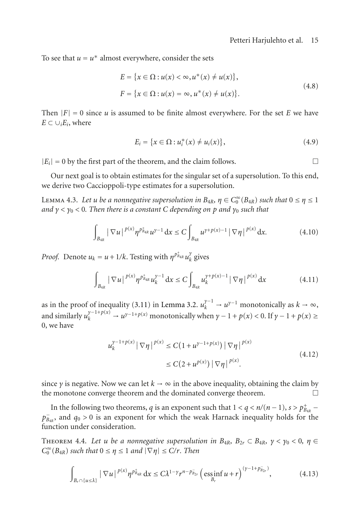To see that  $u = u^*$  almost everywhere, consider the sets

$$
E = \{x \in \Omega : u(x) < \infty, u^*(x) \neq u(x)\},
$$
\n
$$
F = \{x \in \Omega : u(x) = \infty, u^*(x) \neq u(x)\}.
$$
\n(4.8)

Then  $|F| = 0$  since *u* is assumed to be finite almost everywhere. For the set *E* we have  $E$  ⊂ ∪*<sub>i</sub>E<sub>i</sub>*, where

$$
E_i = \{x \in \Omega : u_i^*(x) \neq u_i(x)\},\tag{4.9}
$$

 $|E_i| = 0$  by the first part of the theorem, and the claim follows.  $\Box$ 

<span id="page-14-0"></span>Our next goal is to obtain estimates for the singular set of a supersolution. To this end, we derive two Caccioppoli-type estimates for a supersolution.

Lemma 4.3. *Let <sup>u</sup> be a nonnegative supersolution in <sup>B</sup>*4*R, <sup>η</sup>* <sup>∈</sup> *<sup>C</sup>*<sup>∞</sup> <sup>0</sup> (*B*4*R*) *such that* <sup>0</sup> <sup>≤</sup> *<sup>η</sup>* <sup>≤</sup> <sup>1</sup> *and*  $\gamma < \gamma_0 < 0$ . Then there is a constant C depending on p and  $\gamma_0$  such that

$$
\int_{B_{4R}} |\nabla u|^{p(x)} \eta^{p_{B_{4R}}} u^{\gamma-1} dx \le C \int_{B_{4R}} u^{\gamma+p(x)-1} |\nabla \eta|^{p(x)} dx.
$$
 (4.10)

*Proof.* Denote  $u_k = u + 1/k$ . Testing with  $\eta^{p_{\hat{u}_{4R}}} u_k^{\gamma}$  gives

$$
\int_{B_{4R}} |\nabla u|^{p(x)} \eta^{p_{B_{4R}}^+} u_k^{\gamma-1} dx \le C \int_{B_{4R}} u_k^{\gamma+p(x)-1} |\nabla \eta|^{p(x)} dx \tag{4.11}
$$

as in the proof of inequality  $(3.11)$  in [Lemma 3.2.](#page-3-1) *u*  $\chi_k^{\gamma-1} \to u^{\gamma-1}$  monotonically as  $k \to \infty$ , and similarly  $u_k^{\gamma-1+p(x)} \to u^{\gamma-1+p(x)}$  monotonically when  $\gamma - 1 + p(x) < 0$ . If  $\gamma - 1 + p(x) \ge 0$ 0, we have

$$
u_k^{\gamma - 1 + p(x)} |\nabla \eta|^{p(x)} \le C(1 + u^{\gamma - 1 + p(x)}) |\nabla \eta|^{p(x)} \le C(2 + u^{p(x)}) |\nabla \eta|^{p(x)}.
$$
\n(4.12)

since *γ* is negative. Now we can let  $k \to \infty$  in the above inequality, obtaining the claim by the monotone converge theorem and the dominated converge theorem. the monotone converge theorem and the dominated converge theorem.

In the following two theorems, *q* is an exponent such that  $1 < q < n/(n-1)$ ,  $s > p_{B_{4R}}^+$  –<br>and  $a_0 > 0$  is an exponent for which the weak Harnack inequality holds for the *p*<sub>→</sub> and *q*<sub>0</sub> > 0 is an exponent for which the weak Harnack inequality holds for the function under consideration function under consideration.

<span id="page-14-1"></span>THEOREM 4.4. Let *u* be a nonnegative supersolution in  $B_{4R}$ ,  $B_{2r} \subset B_{4R}$ ,  $\gamma < \gamma_0 < 0$ ,  $\eta \in$  $C_0^{\infty}(B_{4R})$  *such that*  $0 \le \eta \le 1$  *and*  $|\nabla \eta| \le C/r$ *. Then* 

$$
\int_{B_r \cap \{u \le \lambda\}} |\nabla u|^{p(x)} \eta^{p_{B_{4R}}^+} dx \le C \lambda^{1-\gamma} r^{n-p_{B_{2r}}} \left( \underset{B_r}{\text{essinf}} u + r \right)^{(\gamma - 1 + p_{B_{2r}}^-)}, \tag{4.13}
$$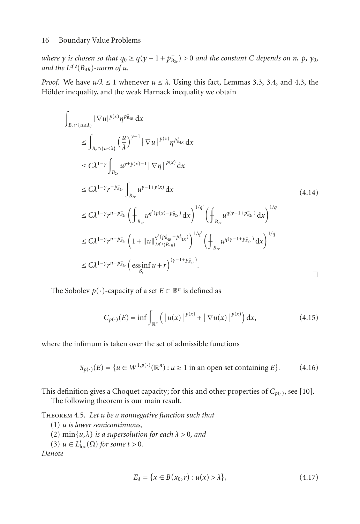where  $\gamma$  is chosen so that  $q_0 \geq q(\gamma - 1 + p_{B_{2r}}^-) > 0$  and the constant C depends on n, p,  $\gamma_0$ ,<br>and the I<sup>q's(R</sup>+p)-norm of u and the  $L^{q's}(B_{4R})$ -norm of  $u$ .

*Proof.* We have  $u/\lambda \leq 1$  whenever  $u \leq \lambda$ . Using this fact, Lemmas [3.3,](#page-5-2) [3.4,](#page-5-1) and [4.3,](#page-14-0) the Hölder inequality, and the weak Harnack inequality we obtain

$$
\int_{B_{r} \cap \{u \leq \lambda\}} |\nabla u|^{p(x)} \eta^{p_{B_{4R}}} dx
$$
\n
$$
\leq \int_{B_{r} \cap \{u \leq \lambda\}} \left(\frac{u}{\lambda}\right)^{\gamma-1} |\nabla u|^{p(x)} \eta^{p_{B_{4R}}} dx
$$
\n
$$
\leq C\lambda^{1-\gamma} \int_{B_{2r}} u^{\gamma+p(x)-1} |\nabla \eta|^{p(x)} dx
$$
\n
$$
\leq C\lambda^{1-\gamma} r^{-p_{B_{2r}}} \int_{B_{2r}} u^{\gamma-1+p(x)} dx
$$
\n
$$
\leq C\lambda^{1-\gamma} r^{n-p_{B_{2r}}} \left(\int_{B_{2r}} u^{q'(p(x)-p_{B_{2r}})} dx\right)^{1/q'} \left(\int_{B_{2r}} u^{q(y-1+p_{B_{2r}})} dx\right)^{1/q}
$$
\n
$$
\leq C\lambda^{1-\gamma} r^{n-p_{B_{2r}}} \left(1 + ||u||_{L^{q'(p_{B_{4R}}(p_{B_{4R}}))}^{q'(p_{B_{4R}}(p_{B_{4R}}))}\right)^{1/q'} \left(\int_{B_{2r}} u^{q(y-1+p_{B_{2r}})} dx\right)^{1/q}
$$
\n
$$
\leq C\lambda^{1-\gamma} r^{n-p_{B_{2r}}} \left(\operatorname{essinf}_{B_{r}} u + r\right)^{(\gamma-1+p_{B_{2r}})}.
$$
\n
$$
\square
$$

The Sobolev  $p(\cdot)$ -capacity of a set  $E \subset \mathbb{R}^n$  is defined as

$$
C_{p(\cdot)}(E) = \inf \int_{\mathbb{R}^n} \left( |u(x)|^{p(x)} + |\nabla u(x)|^{p(x)} \right) dx, \tag{4.15}
$$

where the infimum is taken over the set of admissible functions

$$
S_{p(\cdot)}(E) = \{ u \in W^{1,p(\cdot)}(\mathbb{R}^n) : u \ge 1 \text{ in an open set containing } E \}. \tag{4.16}
$$

<span id="page-15-0"></span>This definition gives a Choquet capacity; for this and other properties of  $C_{p(\cdot)}$ , see [\[10\]](#page-18-7).

The following theorem is our main result.

Theorem 4.5. *Let u be a nonnegative function such that*

(1) *u is lower semicontinuous,*

- (2)  $\min\{u,\lambda\}$  *is a supersolution for each*  $\lambda > 0$ *, and*
- (3)  $u \in L^t_{loc}(\Omega)$  *for some t* > 0*.*

*Denote*

$$
E_{\lambda} = \{x \in B(x_0, r) : u(x) > \lambda\},\tag{4.17}
$$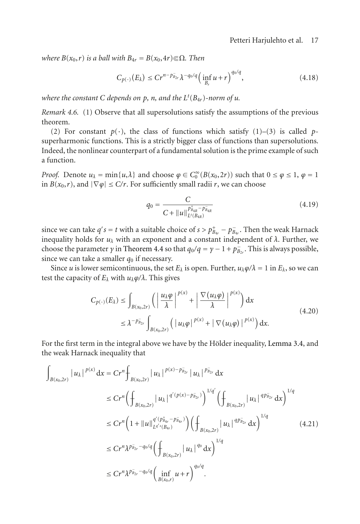*where*  $B(x_0, r)$  *is a ball with*  $B_{4r} = B(x_0, 4r) \in \Omega$ *. Then* 

$$
C_{p(\cdot)}(E_{\lambda}) \le Cr^{n-p_{B_{2r}}^{-}} \lambda^{-q_0/q} \Big(\inf_{B_r} u+r\Big)^{q_0/q}, \tag{4.18}
$$

*where the constant C depends on p, n, and the L<sup>t</sup>* (*B*4*r*)*-norm of <sup>u</sup>.*

*Remark 4.6.* (1) Observe that all supersolutions satisfy the assumptions of the previous theorem.

(2) For constant  $p(\cdot)$ , the class of functions which satisfy (1)–(3) is called *p*superharmonic functions. This is a strictly bigger class of functions than supersolutions. Indeed, the nonlinear counterpart of a fundamental solution is the prime example of such a function.

*Proof.* Denote  $u_{\lambda} = \min\{u, \lambda\}$  and choose  $\varphi \in C_0^{\infty}(B(x_0, 2r))$  such that  $0 \le \varphi \le 1$ ,  $\varphi = 1$  in  $B(x_0, r)$  and  $|\nabla \varphi| \le C/r$  for sufficiently small radii r we can choose in *B*( $x_0$ ,*r*), and  $|\nabla \varphi|$  ≤ *C*/*r*. For sufficiently small radii *r*, we can choose

$$
q_0 = \frac{C}{C + ||u||_{L^t(B_{4R})}^{\frac{1}{p_{B_{4R}}^+} - p_{B_{4R}}^-}}
$$
(4.19)

since we can take  $q's = t$  with a suitable choice of  $s > p_{B_4r}^+ - p_{B_4r}^-$ . Then the weak Harnack<br>inequality holds for *u*, with an exponent and a constant independent of  $\lambda$ . Eurther we  $B_{4r}$  is the matrix  $\frac{1}{4}$  **b**  $\frac{1}{2}$  is the matrix of *u<sub>λ</sub>* with an exponent and a constant independent of *λ*. Further, we choose the parameter *v* in Theorem *A A* so that  $a_2/a = v - 1 + p$ . This is always possib choose the parameter *γ* in [Theorem 4.4](#page-14-1) so that  $q_0/q = \gamma - 1 + p_{B_{2r}}^-$ . This is always possible, since we can take a smaller *d*<sub>2</sub> if necessary since we can take a smaller  $q_0$  if necessary.

Since *u* is lower semicontinuous, the set  $E_\lambda$  is open. Further,  $u_\lambda \varphi / \lambda = 1$  in  $E_\lambda$ , so we can test the capacity of  $E_\lambda$  with  $u_\lambda \varphi / \lambda$ . This gives

$$
C_{p(\cdot)}(E_{\lambda}) \le \int_{B(x_0,2r)} \left( \left| \frac{u_{\lambda} \varphi}{\lambda} \right|^{p(x)} + \left| \frac{\nabla (u_{\lambda} \varphi)}{\lambda} \right|^{p(x)} \right) dx
$$
  
 
$$
\le \lambda^{-p_{B_{2r}}} \int_{B(x_0,2r)} \left( |u_{\lambda} \varphi|^{p(x)} + |\nabla (u_{\lambda} \varphi)|^{p(x)} \right) dx.
$$
 (4.20)

For the first term in the integral above we have by the Hölder inequality, [Lemma 3.4,](#page-5-1) and the weak Harnack inequality that

$$
\int_{B(x_0,2r)} |u_{\lambda}|^{p(x)} dx = Cr^n \int_{B(x_0,2r)} |u_{\lambda}|^{p(x)-p_{B_{2r}}} |u_{\lambda}|^{p_{B_{2r}}} dx
$$
\n
$$
\leq Cr^n \Big( \int_{B(x_0,2r)} |u_{\lambda}|^{q'(p(x)-p_{B_{2r}})} \Big)^{1/q'} \Big( \int_{B(x_0,2r)} |u_{\lambda}|^{qp_{B_{2r}}} dx \Big)^{1/q}
$$
\n
$$
\leq Cr^n \Big( 1 + ||u||_{L^{q'}(B_{4r})}^{q'(p_{B_{4r}}^+ - p_{B_{4r}}^-)} \Big) \Big( \int_{B(x_0,2r)} |u_{\lambda}|^{qp_{B_{2r}}} dx \Big)^{1/q}
$$
\n
$$
\leq Cr^n \lambda^{p_{B_{2r}}^+ - q_0/q} \Big( \int_{B(x_0,2r)} |u_{\lambda}|^{q_0} dx \Big)^{1/q}
$$
\n
$$
\leq Cr^n \lambda^{p_{B_{2r}}^+ - q_0/q} \Big( \inf_{B(x_0,r)} u + r \Big)^{q_0/q}.
$$
\n(4.21)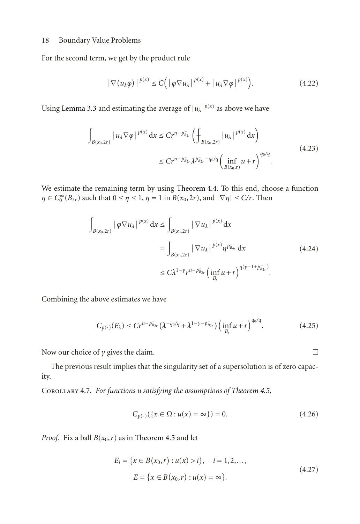For the second term, we get by the product rule

$$
|\nabla(u_{\lambda}\varphi)|^{p(x)} \leq C(|\varphi\nabla u_{\lambda}|^{p(x)} + |u_{\lambda}\nabla\varphi|^{p(x)}).
$$
 (4.22)

Using [Lemma 3.3](#page-5-2) and estimating the average of  $|u_\lambda|^{p(x)}$  as above we have

$$
\int_{B(x_0,2r)} |u_{\lambda} \nabla \varphi|^{p(x)} dx \le Cr^{n-p_{\bar{B}_{2r}}} \left( \int_{B(x_0,2r)} |u_{\lambda}|^{p(x)} dx \right)
$$
\n
$$
\le Cr^{n-p_{\bar{B}_{2r}}} \lambda^{p_{\bar{B}_{2r}}-q_0/q} \left( \inf_{B(x_0,r)} u + r \right)^{q_0/q} .
$$
\n(4.23)

We estimate the remaining term by using [Theorem 4.4.](#page-14-1) To this end, choose a function *η* ∈ *C*<sup>∞</sup><sub>0</sub><sup>*(B*<sub>3*r*</sub>) such that 0 ≤ *η* ≤ 1, *η* = 1 in *B*(*x*<sub>0</sub>,2*r*), and  $|\nabla \eta|$  ≤ *C*/*r*. Then</sup>

$$
\int_{B(x_0, 2r)} |\varphi \nabla u_{\lambda}|^{p(x)} dx \le \int_{B(x_0, 2r)} |\nabla u_{\lambda}|^{p(x)} dx
$$
  
= 
$$
\int_{B(x_0, 2r)} |\nabla u_{\lambda}|^{p(x)} \eta^{p_{a_r}^+} dx
$$
  

$$
\le C \lambda^{1-\gamma} r^{n-p_{a_{2r}}} \Big( \inf_{B_r} u + r \Big)^{q(y-1+p_{a_{2r}}^-)}.
$$
 (4.24)

Combining the above estimates we have

$$
C_{p(\cdot)}(E_{\lambda}) \le Cr^{n-p_{B_{2r}}} \left(\lambda^{-q_0/q} + \lambda^{1-\gamma-p_{B_{2r}}} \right) \left(\inf_{B_r} u + r\right)^{q_0/q}.
$$
 (4.25)

Now our choice of *γ* gives the claim.  $\Box$ 

The previous result implies that the singularity set of a supersolution is of zero capacity.

Corollary 4.7. *For functions u satisfying the assumptions of [Theorem 4.5,](#page-15-0)*

$$
C_{p(\cdot)}(\{x \in \Omega : u(x) = \infty\}) = 0. \tag{4.26}
$$

*Proof.* Fix a ball  $B(x_0, r)$  as in [Theorem 4.5](#page-15-0) and let

$$
E_i = \{x \in B(x_0, r) : u(x) > i\}, \quad i = 1, 2, \dots,
$$
  

$$
E = \{x \in B(x_0, r) : u(x) = \infty\}.
$$
 (4.27)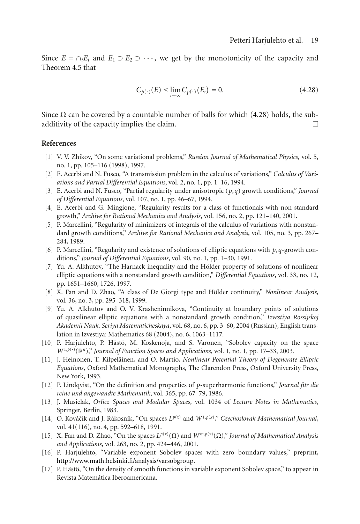Since  $E = \bigcap_i E_i$  and  $E_1 \supset E_2 \supset \cdots$ , we get by the monotonicity of the capacity and [Theorem 4.5](#page-15-0) that

<span id="page-18-15"></span>
$$
C_{p(\cdot)}(E) \le \lim_{i \to \infty} C_{p(\cdot)}(E_i) = 0.
$$
\n(4.28)

Since Ω can be covered by a countable number of balls for which [\(4.28\)](#page-18-15) holds, the subadditivity of the capacity implies the claim.  $\Box$ 

## <span id="page-18-1"></span><span id="page-18-0"></span>**References**

- [1] V. V. Zhikov, "On some variational problems," *Russian Journal of Mathematical Physics*, vol. 5, no. 1, pp. 105–116 (1998), 1997.
- <span id="page-18-2"></span>[2] E. Acerbi and N. Fusco, "A transmission problem in the calculus of variations," *Calculus of Variations and Partial Differential Equations*, vol. 2, no. 1, pp. 1–16, 1994.
- [3] E. Acerbi and N. Fusco, "Partial regularity under anisotropic (*p*,*q*) growth conditions," *Journal of Differential Equations*, vol. 107, no. 1, pp. 46–67, 1994.
- [4] E. Acerbi and G. Mingione, "Regularity results for a class of functionals with non-standard growth," *Archive for Rational Mechanics and Analysis*, vol. 156, no. 2, pp. 121–140, 2001.
- [5] P. Marcellini, "Regularity of minimizers of integrals of the calculus of variations with nonstandard growth conditions," *Archive for Rational Mechanics and Analysis*, vol. 105, no. 3, pp. 267– 284, 1989.
- <span id="page-18-3"></span>[6] P. Marcellini, "Regularity and existence of solutions of elliptic equations with *p*,*q*-growth conditions," *Journal of Differential Equations*, vol. 90, no. 1, pp. 1–30, 1991.
- <span id="page-18-4"></span>[7] Yu. A. Alkhutov, "The Harnack inequality and the Hölder property of solutions of nonlinear elliptic equations with a nonstandard growth condition," *Differential Equations*, vol. 33, no. 12, pp. 1651–1660, 1726, 1997.
- <span id="page-18-5"></span>[8] X. Fan and D. Zhao, "A class of De Giorgi type and Hölder continuity," *Nonlinear Analysis*, vol. 36, no. 3, pp. 295–318, 1999.
- <span id="page-18-6"></span>[9] Yu. A. Alkhutov and O. V. Krasheninnikova, "Continuity at boundary points of solutions of quasilinear elliptic equations with a nonstandard growth condition," *Izvestiya Rossijskoj Akademii Nauk. Seriya Matematicheskaya*, vol. 68, no. 6, pp. 3–60, 2004 (Russian), English translation in Izvestiya: Mathematics 68 (2004), no. 6, 1063–1117.
- <span id="page-18-7"></span>[10] P. Harjulehto, P. Hästö, M. Koskenoja, and S. Varonen, "Sobolev capacity on the space *W*<sup>1,*p*(·)</sup>( $\mathbb{R}^n$ )," *Journal of Function Spaces and Applications*, vol. 1, no. 1, pp. 17–33, 2003.<br>*I* Heinonen T Kilpeläinen and O Martio Nonlinear Potential Theory of Degenerat
- <span id="page-18-8"></span>[11] J. Heinonen, T. Kilpeläinen, and O. Martio, *Nonlinear Potential Theory of Degenerate Elliptic Equations*, Oxford Mathematical Monographs, The Clarendon Press, Oxford University Press, New York, 1993.
- <span id="page-18-9"></span>[12] P. Lindqvist, "On the definition and properties of *p*-superharmonic functions," *Journal fur die reine und angewandte Mathematik*, vol. 365, pp. 67–79, 1986.
- <span id="page-18-10"></span>[13] J. Musielak, *Orlicz Spaces and Modular Spaces*, vol. 1034 of *Lecture Notes in Mathematics*, Springer, Berlin, 1983.
- <span id="page-18-11"></span>[14] O. Kováčik and J. Rákosník, "On spaces  $L^{p(x)}$  and  $W^{1,p(x)}$ ," Czechoslovak Mathematical Journal, vol. 41(116), no. 4, np. 592–618, 1991 vol. 41(116), no. 4, pp. 592–618, 1991.
- <span id="page-18-12"></span>[15] X. Fan and D. Zhao, "On the spaces  $L^{p(x)}(\Omega)$  and  $W^{m,p(x)}(\Omega)$ ," *Journal of Mathematical Analysis*<br>and Applications vol. 263, no. 2, np. 424–446, 2001 *and Applications*, vol. 263, no. 2, pp. 424–446, 2001.
- <span id="page-18-13"></span>[16] P. Harjulehto, "Variable exponent Sobolev spaces with zero boundary values," preprint, [http://www.math.helsinki.fi/analysis/varsobgroup.](http://www.math.helsinki.fi/analysis/varsobgroup)
- <span id="page-18-14"></span>[17] P. Hästö, "On the density of smooth functions in variable exponent Sobolev space," to appear in Revista Matemática Iberoamericana.